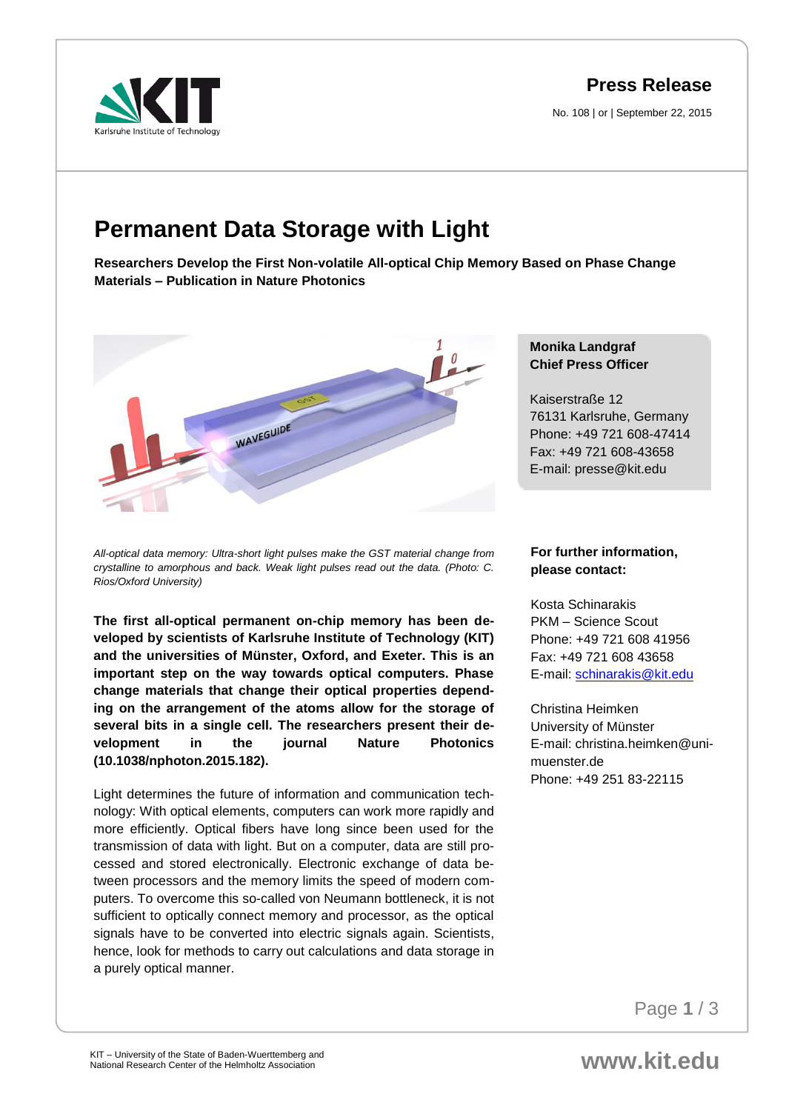**Press Release**

No. 108 | or | September 22, 2015



## **Permanent Data Storage with Light**

**Researchers Develop the First Non-volatile All-optical Chip Memory Based on Phase Change Materials – Publication in Nature Photonics**



*All-optical data memory: Ultra-short light pulses make the GST material change from crystalline to amorphous and back. Weak light pulses read out the data. (Photo: C. Rios/Oxford University)*

**The first all-optical permanent on-chip memory has been developed by scientists of Karlsruhe Institute of Technology (KIT) and the universities of Münster, Oxford, and Exeter. This is an important step on the way towards optical computers. Phase change materials that change their optical properties depending on the arrangement of the atoms allow for the storage of several bits in a single cell. The researchers present their development in the journal Nature Photonics (10.1038/nphoton.2015.182).**

Light determines the future of information and communication technology: With optical elements, computers can work more rapidly and more efficiently. Optical fibers have long since been used for the transmission of data with light. But on a computer, data are still processed and stored electronically. Electronic exchange of data between processors and the memory limits the speed of modern computers. To overcome this so-called von Neumann bottleneck, it is not sufficient to optically connect memory and processor, as the optical signals have to be converted into electric signals again. Scientists, hence, look for methods to carry out calculations and data storage in a purely optical manner.

## **Monika Landgraf Chief Press Officer**

Kaiserstraße 12 76131 Karlsruhe, Germany Phone: +49 721 608-47414 Fax: +49 721 608-43658 E-mail: presse@kit.edu

## **For further information, please contact:**

Kosta Schinarakis PKM – Science Scout Phone: +49 721 608 41956 Fax: +49 721 608 43658 E-mail: [schinarakis@kit.edu](mailto:schinarakis@kit.edu)

Christina Heimken University of Münster E-mail: christina.heimken@unimuenster.de Phone: +49 251 83-22115

Page **1** / 3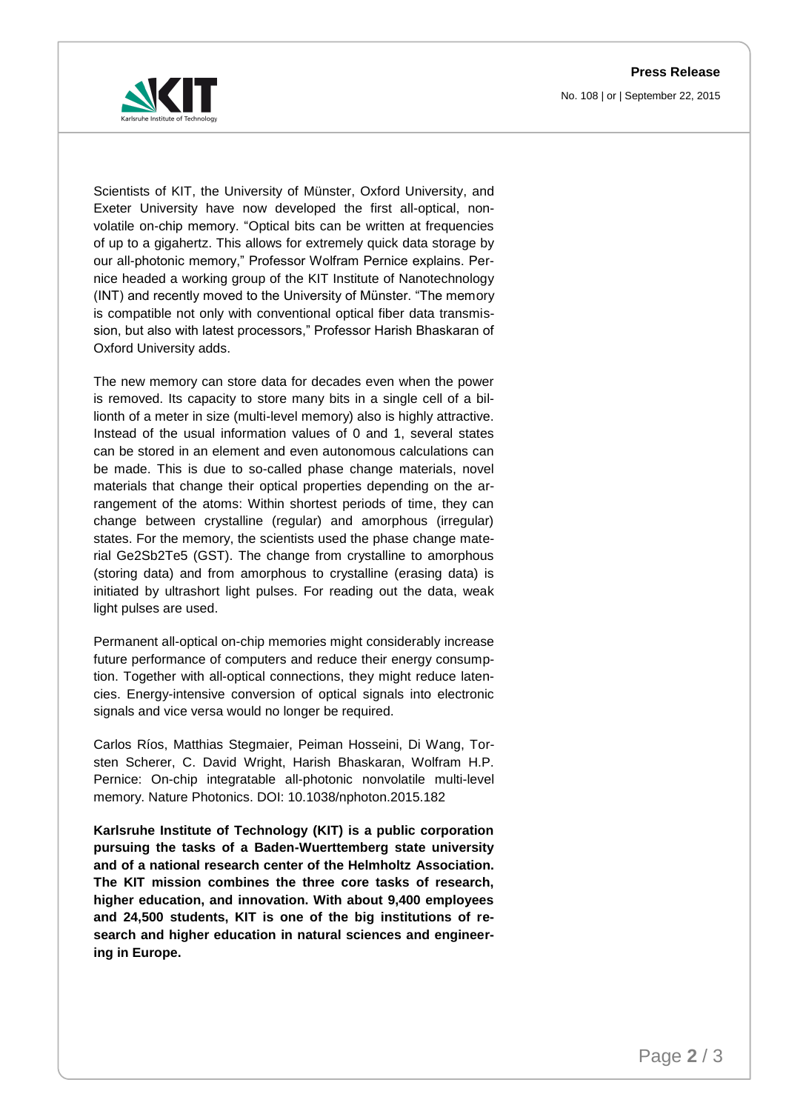**Press Release** No. 108 | or | September 22, 2015



Scientists of KIT, the University of Münster, Oxford University, and Exeter University have now developed the first all-optical, nonvolatile on-chip memory. "Optical bits can be written at frequencies of up to a gigahertz. This allows for extremely quick data storage by our all-photonic memory," Professor Wolfram Pernice explains. Pernice headed a working group of the KIT Institute of Nanotechnology (INT) and recently moved to the University of Münster. "The memory is compatible not only with conventional optical fiber data transmission, but also with latest processors," Professor Harish Bhaskaran of Oxford University adds.

The new memory can store data for decades even when the power is removed. Its capacity to store many bits in a single cell of a billionth of a meter in size (multi-level memory) also is highly attractive. Instead of the usual information values of 0 and 1, several states can be stored in an element and even autonomous calculations can be made. This is due to so-called phase change materials, novel materials that change their optical properties depending on the arrangement of the atoms: Within shortest periods of time, they can change between crystalline (regular) and amorphous (irregular) states. For the memory, the scientists used the phase change material Ge2Sb2Te5 (GST). The change from crystalline to amorphous (storing data) and from amorphous to crystalline (erasing data) is initiated by ultrashort light pulses. For reading out the data, weak light pulses are used.

Permanent all-optical on-chip memories might considerably increase future performance of computers and reduce their energy consumption. Together with all-optical connections, they might reduce latencies. Energy-intensive conversion of optical signals into electronic signals and vice versa would no longer be required.

Carlos Ríos, Matthias Stegmaier, Peiman Hosseini, Di Wang, Torsten Scherer, C. David Wright, Harish Bhaskaran, Wolfram H.P. Pernice: On-chip integratable all-photonic nonvolatile multi-level memory. Nature Photonics. DOI: 10.1038/nphoton.2015.182

**Karlsruhe Institute of Technology (KIT) is a public corporation pursuing the tasks of a Baden-Wuerttemberg state university and of a national research center of the Helmholtz Association. The KIT mission combines the three core tasks of research, higher education, and innovation. With about 9,400 employees and 24,500 students, KIT is one of the big institutions of research and higher education in natural sciences and engineering in Europe.**